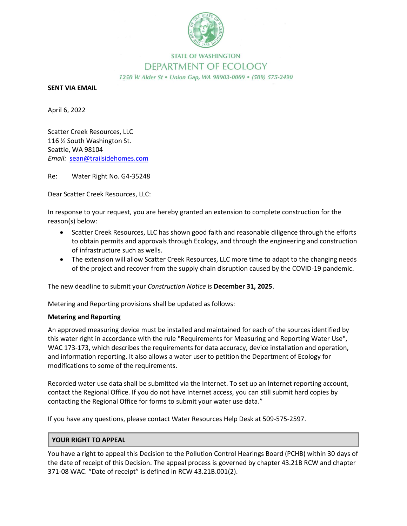

## **STATE OF WASHINGTON** DEPARTMENT OF ECOLOGY 1250 W Alder St . Union Gap, WA 98903-0009 . (509) 575-2490

## **SENT VIA EMAIL**

April 6, 2022

Scatter Creek Resources, LLC 116 ½ South Washington St. Seattle, WA 98104 *Email:* sean@trailsidehomes.com

Re: Water Right No. G4-35248

Dear Scatter Creek Resources, LLC:

In response to your request, you are hereby granted an extension to complete construction for the reason(s) below:

- Scatter Creek Resources, LLC has shown good faith and reasonable diligence through the efforts to obtain permits and approvals through Ecology, and through the engineering and construction of infrastructure such as wells.
- The extension will allow Scatter Creek Resources, LLC more time to adapt to the changing needs of the project and recover from the supply chain disruption caused by the COVID-19 pandemic.

The new deadline to submit your *Construction Notice* is **December 31, 2025**.

Metering and Reporting provisions shall be updated as follows:

## **Metering and Reporting**

An approved measuring device must be installed and maintained for each of the sources identified by this water right in accordance with the rule "Requirements for Measuring and Reporting Water Use", WAC 173-173, which describes the requirements for data accuracy, device installation and operation, and information reporting. It also allows a water user to petition the Department of Ecology for modifications to some of the requirements.

Recorded water use data shall be submitted via the Internet. To set up an Internet reporting account, contact the Regional Office. If you do not have Internet access, you can still submit hard copies by contacting the Regional Office for forms to submit your water use data."

If you have any questions, please contact Water Resources Help Desk at 509-575-2597.

## **YOUR RIGHT TO APPEAL**

You have a right to appeal this Decision to the Pollution Control Hearings Board (PCHB) within 30 days of the date of receipt of this Decision. The appeal process is governed by chapter 43.21B RCW and chapter 371-08 WAC. "Date of receipt" is defined in RCW 43.21B.001(2).